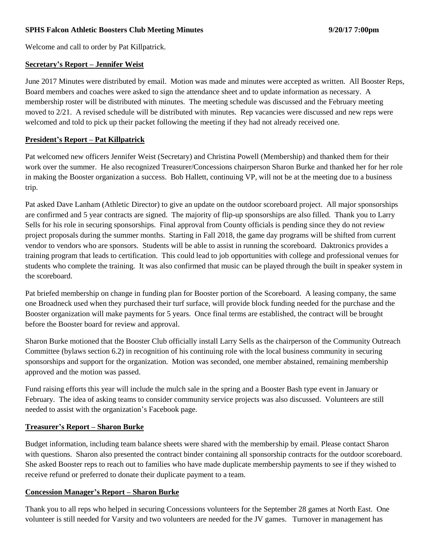#### **SPHS Falcon Athletic Boosters Club Meeting Minutes 9/20/17 7:00pm**

Welcome and call to order by Pat Killpatrick.

#### **Secretary's Report – Jennifer Weist**

June 2017 Minutes were distributed by email. Motion was made and minutes were accepted as written. All Booster Reps, Board members and coaches were asked to sign the attendance sheet and to update information as necessary. A membership roster will be distributed with minutes. The meeting schedule was discussed and the February meeting moved to 2/21. A revised schedule will be distributed with minutes. Rep vacancies were discussed and new reps were welcomed and told to pick up their packet following the meeting if they had not already received one.

#### **President's Report – Pat Killpatrick**

Pat welcomed new officers Jennifer Weist (Secretary) and Christina Powell (Membership) and thanked them for their work over the summer. He also recognized Treasurer/Concessions chairperson Sharon Burke and thanked her for her role in making the Booster organization a success. Bob Hallett, continuing VP, will not be at the meeting due to a business trip.

Pat asked Dave Lanham (Athletic Director) to give an update on the outdoor scoreboard project. All major sponsorships are confirmed and 5 year contracts are signed. The majority of flip-up sponsorships are also filled. Thank you to Larry Sells for his role in securing sponsorships. Final approval from County officials is pending since they do not review project proposals during the summer months. Starting in Fall 2018, the game day programs will be shifted from current vendor to vendors who are sponsors. Students will be able to assist in running the scoreboard. Daktronics provides a training program that leads to certification. This could lead to job opportunities with college and professional venues for students who complete the training. It was also confirmed that music can be played through the built in speaker system in the scoreboard.

Pat briefed membership on change in funding plan for Booster portion of the Scoreboard. A leasing company, the same one Broadneck used when they purchased their turf surface, will provide block funding needed for the purchase and the Booster organization will make payments for 5 years. Once final terms are established, the contract will be brought before the Booster board for review and approval.

Sharon Burke motioned that the Booster Club officially install Larry Sells as the chairperson of the Community Outreach Committee (bylaws section 6.2) in recognition of his continuing role with the local business community in securing sponsorships and support for the organization. Motion was seconded, one member abstained, remaining membership approved and the motion was passed.

Fund raising efforts this year will include the mulch sale in the spring and a Booster Bash type event in January or February. The idea of asking teams to consider community service projects was also discussed. Volunteers are still needed to assist with the organization's Facebook page.

## **Treasurer's Report – Sharon Burke**

Budget information, including team balance sheets were shared with the membership by email. Please contact Sharon with questions. Sharon also presented the contract binder containing all sponsorship contracts for the outdoor scoreboard. She asked Booster reps to reach out to families who have made duplicate membership payments to see if they wished to receive refund or preferred to donate their duplicate payment to a team.

## **Concession Manager's Report – Sharon Burke**

Thank you to all reps who helped in securing Concessions volunteers for the September 28 games at North East. One volunteer is still needed for Varsity and two volunteers are needed for the JV games. Turnover in management has